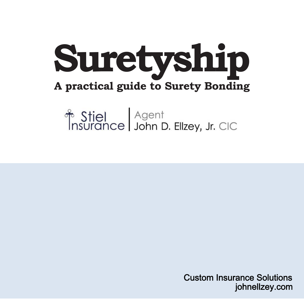

# Stiel Agent<br>
Insurance John D. Ellzey, Jr. CIC

Custom Insurance Solutions johnellzey.com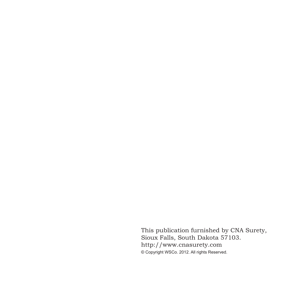This publication furnished by CNA Surety, Sioux Falls, South Dakota 57103. http://www.cnasurety.com © Copyright WSCo. 2012. All rights Reserved.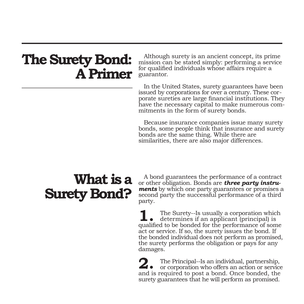## **The Surety Bond: A Primer**

Although surety is an ancient concept, its prime mission can be stated simply: performing a service for qualified individuals whose affairs require a guarantor.

In the United States, surety guarantees have been issued by corporations for over a century. These corporate sureties are large financial institutions. They have the necessary capital to make numerous commitments in the form of surety bonds.

Because insurance companies issue many surety bonds, some people think that insurance and surety bonds are the same thing. While there are similarities, there are also major differences.

## **What is a Surety Bond?**

A bond guarantees the performance of a contract<br>or other obligation. Bonds are **three party instruments** by which one party guarantees or promises a second party the successful performance of a third party.

 The Surety--Is usually a corporation which determines if an applicant (principal) is **1.** The Surety-Is usually a corporation which determines if an applicant (principal) is qualified to be bonded for the performance of some act or service. If so, the surety issues the bond. If the bonded individual does not perform as promised, the surety performs the obligation or pays for any damages.

 The Principal--Is an individual, partnership, 2. The Principal--Is an individual, partnership, or corporation who offers an action or service and is required to post a bond. Once bonded, the surety guarantees that he will perform as promised.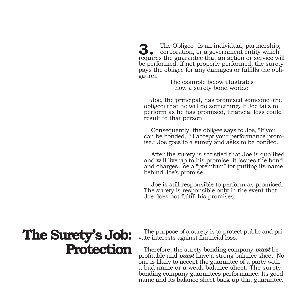The Obligee--Is an individual, partnership, corporation, or a government entity which **3.** The Obligee--Is an individual, partnership, corporation, or a government entity which requires the guarantee that an action or service will be performed. If not properly performed, the surety pays the obligee for any damages or fulfills the obligation.

> The example below illustrates how a surety bond works:

 Joe, the principal, has promised someone (the obligee) that he will do something. If Joe fails to perform as he has promised, financial loss could result to that person.

 Consequently, the obligee says to Joe, "If you can be bonded, I'll accept your performance promise." Joe goes to a surety and asks to be bonded.

 After the surety is satisfied that Joe is qualified and will live up to his promise, it issues the bond and charges Joe a "premium" for putting its name behind Joe's promise.

 Joe is still responsible to perform as promised. The surety is responsible only in the event that Joe does not fulfill his promises.

## **The Surety's Job: Protection**

The purpose of a surety is to protect public and private interests against financial loss.

Therefore, the surety bonding company *must* be profitable and *must* have a strong balance sheet. No one is likely to accept the guarantee of a party with a bad name or a weak balance sheet. The surety bonding company guarantees performance. Its good name and its balance sheet back up that guarantee.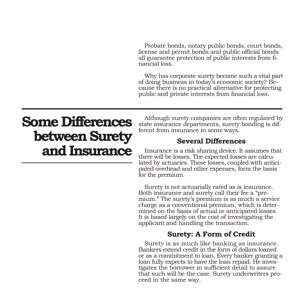Probate bonds, notary public bonds, court bonds, license and permit bonds and public official bonds all guarantee protection of public interests from financial loss.

Why has corporate surety become such a vital part of doing business in today's economic society? Because there is no practical alternative for protecting public and private interests from financial loss.

## **Some Differences between Surety and Insurance**

Although surety companies are often regulated by state insurance departments, surety bonding is different from insurance in some ways.

### **Several Differences**

Insurance is a risk sharing device. It assumes that there will be losses. The expected losses are calculated by actuaries. These losses, coupled with anticipated overhead and other expenses, form the basis for the premium.

Surety is not actuarially rated as is insurance. Both insurance and surety call their fee a "premium." The surety's premium is as much a service charge as a conventional premium, which is determined on the basis of actual or anticipated losses. It is based largely on the cost of investigating the applicant and handling the transaction.

### **Surety: A Form of Credit**

Surety is as much like banking as insurance. Bankers extend credit in the form of dollars loaned or as a commitment to loan. Every banker granting a loan fully expects to have the loan repaid. He investigates the borrower in sufficient detail to assure that such will be the case. Surety underwriters proceed in the same way.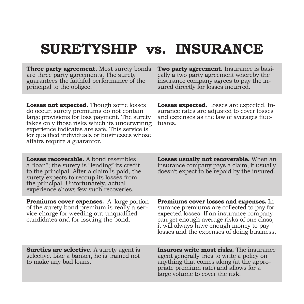## **SURETYSHIP vs. INSURANCE**

**Three party agreement.** Most surety bonds are three party agreements. The surety guarantees the faithful performance of the principal to the obligee.

**Two party agreement.** Insurance is basically a two party agreement whereby the insurance company agrees to pay the insured directly for losses incurred.

**Losses not expected.** Though some losses do occur, surety premiums do not contain large provisions for loss payment. The surety takes only those risks which its underwriting experience indicates are safe. This service is for qualified individuals or businesses whose affairs require a guarantor.

**Losses expected.** Losses are expected. Insurance rates are adjusted to cover losses and expenses as the law of averages fluctuates.

**Losses recoverable.** A bond resembles a "loan"; the surety is "lending" its credit to the principal. After a claim is paid, the surety expects to recoup its losses from the principal. Unfortunately, actual experience shows few such recoveries.

**Premiums cover expenses.** A large portion of the surety bond premium is really a service charge for weeding out unqualified candidates and for issuing the bond.

**Losses usually not recoverable.** When an insurance company pays a claim, it usually doesn't expect to be repaid by the insured.

**Premiums cover losses and expenses.** Insurance premiums are collected to pay for expected losses. If an insurance company can get enough average risks of one class, it will always have enough money to pay losses and the expenses of doing business.

**Sureties are selective.** A surety agent is selective. Like a banker, he is trained not to make any bad loans.

**Insurors write most risks.** The insurance agent generally tries to write a policy on anything that comes along (at the appro- priate premium rate) and allows for a large volume to cover the risk.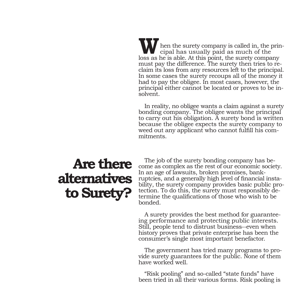hen the surety company is called in, the prin- cipal has usually paid as much of the **W** hen the surety company is called in, the principal has usually paid as much of the loss as he is able. At this point, the surety company must pay the difference. The surety then tries to reclaim its loss from any resources left to the principal. In some cases the surety recoups all of the money it had to pay the obligee. In most cases, however, the principal either cannot be located or proves to be insolvent.

In reality, no obligee wants a claim against a surety bonding company. The obligee wants the principal to carry out his obligation. A surety bond is written because the obligee expects the surety company to weed out any applicant who cannot fulfill his commitments.

## **Are there alternatives to Surety?**

The job of the surety bonding company has become as complex as the rest of our economic society. In an age of lawsuits, broken promises, bankruptcies, and a generally high level of financial instability, the surety company provides basic public protection. To do this, the surety must responsibly determine the qualifications of those who wish to be bonded.

A surety provides the best method for guaranteeing performance and protecting public interests. Still, people tend to distrust business--even when history proves that private enterprise has been the consumer's single most important benefactor.

The government has tried many programs to provide surety guarantees for the public. None of them have worked well.

"Risk pooling" and so-called "state funds" have been tried in all their various forms. Risk pooling is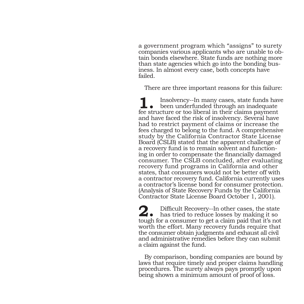a government program which "assigns" to surety companies various applicants who are unable to obtain bonds elsewhere. State funds are nothing more than state agencies which go into the bonding business. In almost every case, both concepts have failed.

There are three important reasons for this failure:

 Insolvency--In many cases, state funds have been underfunded through an inadequate **1.** Insolvency--In many cases, state funds have been underfunded through an inadequate fee structure or too liberal in their claims payment and have faced the risk of insolvency. Several have had to restrict payment of claims or increase the fees charged to belong to the fund. A comprehensive study by the California Contractor State License Board (CSLB) stated that the apparent challenge of a recovery fund is to remain solvent and functioning in order to compensate the financially damaged consumer. The CSLB concluded, after evaluating recovery fund programs in California and other states, that consumers would not be better off with a contractor recovery fund. California currently uses a contractor's license bond for consumer protection. (Analysis of State Recovery Funds by the California Contractor State License Board October 1, 2001).

Difficult Recovery--In other cases, the state has tried to reduce losses by making it so **2.**tough for a consumer to get a claim paid that it's not worth the effort. Many recovery funds require that the consumer obtain judgments and exhaust all civil and administrative remedies before they can submit a claim against the fund.

By comparison, bonding companies are bound by laws that require timely and proper claims handling procedures. The surety always pays promptly upon being shown a minimum amount of proof of loss.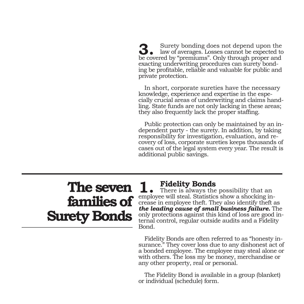Surety bonding does not depend upon the law of averages. Losses cannot be expected to be expected to  $\frac{1}{2}$ be covered by "premiums". Only through proper and exacting underwriting procedures can surety bonding be profitable, reliable and valuable for public and private protection.

In short, corporate sureties have the necessary knowledge, experience and expertise in the especially crucial areas of underwriting and claims handling. State funds are not only lacking in these areas; they also frequently lack the proper staffing.

Public protection can only be maintained by an independent party - the surety. In addition, by taking responsibility for investigation, evaluation, and recovery of loss, corporate sureties keeps thousands of cases out of the legal system every year. The result is additional public savings.

## **The seven families of Surety Bonds**

**Fidelity Bonds**<br>There is always the possibility that an **1.** Fidelity Bonds<br>employee will steal. Statistics show a shocking increase in employee theft. They also identify theft as *the leading cause of small business failure.* The only protections against this kind of loss are good internal control, regular outside audits and a Fidelity Bond.

Fidelity Bonds are often referred to as "honesty insurance." They cover loss due to any dishonest act of a bonded employee. The employee may steal alone or with others. The loss my be money, merchandise or any other property, real or personal.

The Fidelity Bond is available in a group (blanket) or individual (schedule) form.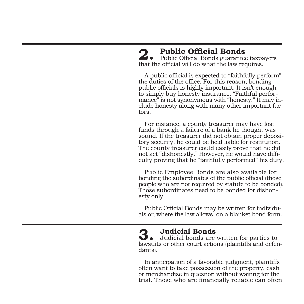### **2.** Public Official Bonds<br> **2.** Public Official Bonds guarantee taxpayers 2. Public Official Bonds<br>that the official will do what the law requires.

A public official is expected to "faithfully perform" the duties of the office. For this reason, bonding public officials is highly important. It isn't enough to simply buy honesty insurance. "Faithful performance" is not synonymous with "honesty." It may include honesty along with many other important factors.

For instance, a county treasurer may have lost funds through a failure of a bank he thought was<br>sound. If the treasurer did not obtain proper depository security, he could be held liable for restitution. The county treasurer could easily prove that he did not act "dishonestly." However, he would have diffi- culty proving that he "faithfully performed" his duty.

Public Employee Bonds are also available for bonding the subordinates of the public official (those people who are not required by statute to be bonded). Those subordinates need to be bonded for dishon- esty only.

Public Official Bonds may be written for individu- als or, where the law allows, on a blanket bond form.

 **Judicial Bonds** Judicial bonds are written for parties to lawsuits or other court actions (plaintiffs and defen-<br>dants). **3.**

In anticipation of a favorable judgment, plaintiffs often want to take possession of the property, cash or merchandise in question without waiting for the trial. Those who are financially reliable can often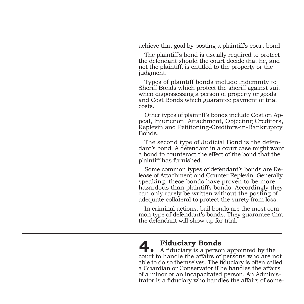achieve that goal by posting a plaintiff's court bond.

The plaintiff's bond is usually required to protect the defendant should the court decide that he, and not the plaintiff, is entitled to the property or the judgment.

Types of plaintiff bonds include Indemnity to Sheriff Bonds which protect the sheriff against suit when dispossessing a person of property or goods and Cost Bonds which guarantee payment of trial costs.

Other types of plaintiff's bonds include Cost on Appeal, Injunction, Attachment, Objecting Creditors, Replevin and Petitioning-Creditors-in-Bankruptcy Bonds.

The second type of Judicial Bond is the defendant's bond. A defendant in a court case might want a bond to counteract the effect of the bond that the plaintiff has furnished.

Some common types of defendant's bonds are Release of Attachment and Counter Replevin. Generally speaking, these bonds have proven to be more hazardous than plaintiffs bonds. Accordingly they can only rarely be written without the posting of adequate collateral to protect the surety from loss.

In criminal actions, bail bonds are the most common type of defendant's bonds. They guarantee that the defendant will show up for trial.

### **Fiduciary Bonds**

A fiduciary is a person appointed by the **4.** Fiduciary Bonds<br>court to handle the affairs of persons who are not able to do so themselves. The fiduciary is often called a Guardian or Conservator if he handles the affairs of a minor or an incapacitated person. An Administrator is a fiduciary who handles the affairs of some-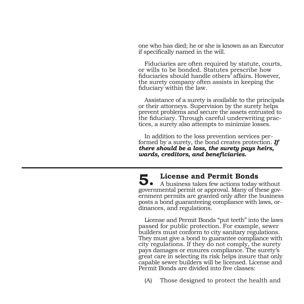one who has died; he or she is known as an Executor if specifically named in the will.

Fiduciaries are often required by statute, courts, or wills to be bonded. Statutes prescribe how fiduciaries should handle others' affairs. However, the surety company often assists in keeping the fiduciary within the law.

Assistance of a surety is available to the principals or their attorneys. Supervision by the surety helps prevent problems and secure the assets entrusted to the fiduciary. Through careful underwriting practices, a surety also attempts to minimize losses.

In addition to the loss prevention services performed by a surety, the bond creates protection. *If there should be a loss, the surety pays heirs, wards, creditors, and beneficiaries.*

**License and Permit Bonds**

 A business takes few actions today without governmental permit or approval. Many of these government permits are granted only after the business posts a bond guaranteeing compliance with laws, ordinances, and regulations. **5.**

License and Permit Bonds "put teeth" into the laws passed for public protection. For example, sewer builders must conform to city sanitary regulations. They must give a bond to guarantee compliance with city regulations. If they do not comply, the surety pays damages or ensures compliance. The surety's great care in selecting its risk helps insure that only capable sewer builders will be licensed. License and Permit Bonds are divided into five classes:

(A) Those designed to protect the health and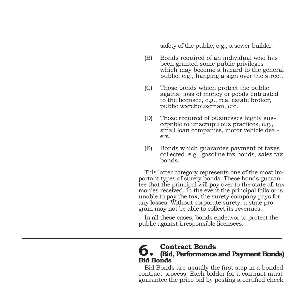safety of the public, e.g., a sewer builder.

- (B) Bonds required of an individual who has been granted some public privileges which may become a hazard to the general public, e.g., hanging a sign over the street.
- (C) Those bonds which protect the public against loss of money or goods entrusted to the licensee, e.g., real estate broker, public warehouseman, etc.
- (D) Those required of businesses highly sus ceptible to unscrupulous practices, e.g., small loan companies, motor vehicle deal ers.
- (E) Bonds which guarantee payment of taxes collected, e.g., gasoline tax bonds, sales tax bonds.

This latter category represents one of the most important types of surety bonds. These bonds guarantee that the principal will pay over to the state all tax monies received. In the event the principal fails or is unable to pay the tax, the surety company pays for any losses. Without corporate surety, a state program may not be able to collect its revenues.

In all these cases, bonds endeavor to protect the public against irresponsible licensees.

### **Contract Bonds (Bid, Performance and Payment Bonds) Bid Bonds 6.**

Bid Bonds are usually the first step in a bonded contract process. Each bidder for a contract must guarantee the price bid by posting a certified check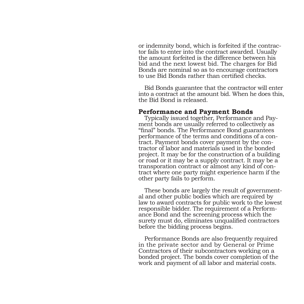or indemnity bond, which is forfeited if the contractor fails to enter into the contract awarded. Usually the amount forfeited is the difference between his bid and the next lowest bid. The charges for Bid Bonds are nominal so as to encourage contractors to use Bid Bonds rather than certified checks.

Bid Bonds guarantee that the contractor will enter into a contract at the amount bid. When he does this, the Bid Bond is released.

### **Performance and Payment Bonds**

Typically issued together, Performance and Payment bonds are usually referred to collectively as "final" bonds. The Performance Bond guarantees performance of the terms and conditions of a contract. Payment bonds cover payment by the contractor of labor and materials used in the bonded project. It may be for the construction of a building or road or it may be a supply contract. It may be a transporation contract or almost any kind of contract where one party might experience harm if the other party fails to perform.

These bonds are largely the result of governmental and other public bodies which are required by law to award contracts for public work to the lowest responsible bidder. The requirement of a Performance Bond and the screening process which the surety must do, eliminates unqualified contractors before the bidding process begins.

Performance Bonds are also frequently required in the private sector and by General or Prime Contractors of their subcontractors working on a bonded project. The bonds cover completion of the work and payment of all labor and material costs.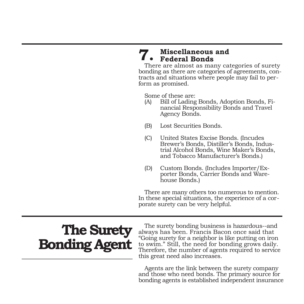### **Miscellaneous and Federal Bonds 7.**

There are almost as many categories of surety bonding as there are categories of agreements, contracts and situations where people may fail to per- form as promised.

Some of these are:

- (A) Bill of Lading Bonds, Adoption Bonds, Fi- nancial Responsibility Bonds and Travel Agency Bonds.
- (B) Lost Securities Bonds.
- (C) United States Excise Bonds. (Incudes Brewer's Bonds, Distiller's Bonds, Indus trial Alcohol Bonds, Wine Maker's Bonds, and Tobacco Manufacturer's Bonds.)
- (D) Custom Bonds. (Includes Importer/Ex porter Bonds, Carrier Bonds and Ware house Bonds.)

There are many others too numerous to mention. In these special situations, the experience of a corporate surety can be very helpful.

## **The Surety Bonding Agent**

The surety bonding business is hazardous--and always has been. Francis Bacon once said that "Going surety for a neighbor is like putting on iron to swim." Still, the need for bonding grows daily. Therefore, the number of agents required to service this great need also increases.

Agents are the link between the surety company and those who need bonds. The primary source for bonding agents is established independent insurance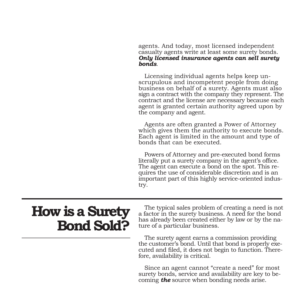agents. And today, most licensed independent casualty agents write at least some surety bonds. *Only licensed insurance agents can sell surety bonds*.

Licensing individual agents helps keep unscrupulous and incompetent people from doing business on behalf of a surety. Agents must also sign a contract with the company they represent. The contract and the license are necessary because each agent is granted certain authority agreed upon by the company and agent.

Agents are often granted a Power of Attorney which gives them the authority to execute bonds. Each agent is limited in the amount and type of bonds that can be executed.

Powers of Attorney and pre-executed bond forms literally put a surety company in the agent's office. The agent can execute a bond on the spot. This requires the use of considerable discretion and is an important part of this highly service-oriented industry.

### **How is a Surety Bond Sold?**

The typical sales problem of creating a need is not a factor in the surety business. A need for the bond has already been created either by law or by the nature of a particular business.

The surety agent earns a commission providing the customer's bond. Until that bond is properly executed and filed, it does not begin to function. Therefore, availability is critical.

Since an agent cannot "create a need" for most surety bonds, service and availability are key to becoming *the* source when bonding needs arise.